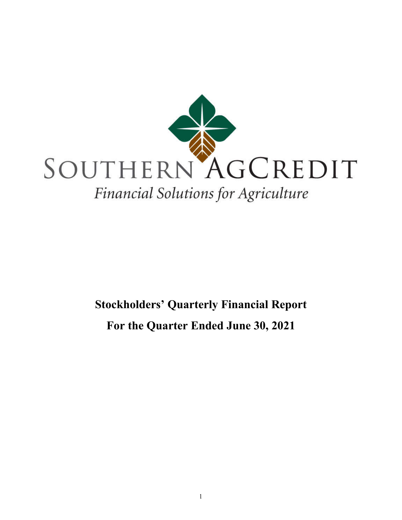

# **Stockholders' Quarterly Financial Report For the Quarter Ended June 30, 2021**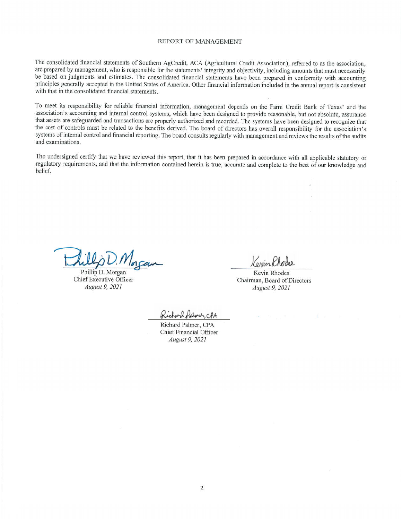#### REPORT OF MANAGEMENT

The consolidated financial statements of Southern AgCredit, ACA (Agricultural Credit Association), referred to as the association, are prepared by management, who is responsible for the statements' integrity and objectivity, including amounts that must necessarily be based on judgments and estimates. The consolidated financial statements have been prepared in conformity with accounting principles generally accepted in the United States of America. Other financial information included in the annual report is consistent with that in the consolidated financial statements.

To meet its responsibility for reliable financial information, management depends on the Farm Credit Bank of Texas' and the association's accounting and internal control systems, which have been designed to provide reasonable, but not absolute, assurance that assets are safeguarded and transactions are properly authorized and recorded. The systems have been designed to recognize that the cost of controls must be related to the benefits derived. The board of directors has overall responsibility for the association's systems of internal control and financial reporting. The board consults regularly with management and reviews the results of the audits and examinations.

The undersigned certify that we have reviewed this report, that it has been prepared in accordance with all applicable statutory or regulatory requirements, and that the information contained herein is true, accurate and complete to the best of our knowledge and belief.

Phillip D. Morgan Chief Executive Officer August 9, 2021

Connin Rhoder

Kevin Rhodes Chairman, Board of Directors August 9, 2021

onl Polmer, CPA

Richard Palmer, CPA Chief Financial Officer August 9, 2021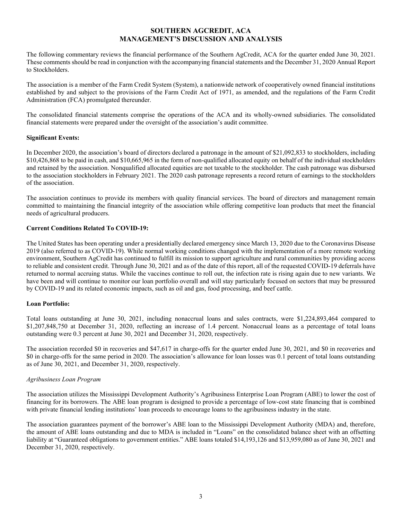## **SOUTHERN AGCREDIT, ACA MANAGEMENT'S DISCUSSION AND ANALYSIS**

The following commentary reviews the financial performance of the Southern AgCredit, ACA for the quarter ended June 30, 2021. These comments should be read in conjunction with the accompanying financial statements and the December 31, 2020 Annual Report to Stockholders.

The association is a member of the Farm Credit System (System), a nationwide network of cooperatively owned financial institutions established by and subject to the provisions of the Farm Credit Act of 1971, as amended, and the regulations of the Farm Credit Administration (FCA) promulgated thereunder.

The consolidated financial statements comprise the operations of the ACA and its wholly-owned subsidiaries. The consolidated financial statements were prepared under the oversight of the association's audit committee.

#### **Significant Events:**

In December 2020, the association's board of directors declared a patronage in the amount of \$21,092,833 to stockholders, including \$10,426,868 to be paid in cash, and \$10,665,965 in the form of non-qualified allocated equity on behalf of the individual stockholders and retained by the association. Nonqualified allocated equities are not taxable to the stockholder. The cash patronage was disbursed to the association stockholders in February 2021. The 2020 cash patronage represents a record return of earnings to the stockholders of the association.

The association continues to provide its members with quality financial services. The board of directors and management remain committed to maintaining the financial integrity of the association while offering competitive loan products that meet the financial needs of agricultural producers.

#### **Current Conditions Related To COVID-19:**

The United States has been operating under a presidentially declared emergency since March 13, 2020 due to the Coronavirus Disease 2019 (also referred to as COVID-19). While normal working conditions changed with the implementation of a more remote working environment, Southern AgCredit has continued to fulfill its mission to support agriculture and rural communities by providing access to reliable and consistent credit. Through June 30, 2021 and as of the date of this report, all of the requested COVID-19 deferrals have returned to normal accruing status. While the vaccines continue to roll out, the infection rate is rising again due to new variants. We have been and will continue to monitor our loan portfolio overall and will stay particularly focused on sectors that may be pressured by COVID-19 and its related economic impacts, such as oil and gas, food processing, and beef cattle.

## **Loan Portfolio:**

Total loans outstanding at June 30, 2021, including nonaccrual loans and sales contracts, were \$1,224,893,464 compared to \$1,207,848,750 at December 31, 2020, reflecting an increase of 1.4 percent. Nonaccrual loans as a percentage of total loans outstanding were 0.3 percent at June 30, 2021 and December 31, 2020, respectively.

The association recorded \$0 in recoveries and \$47,617 in charge-offs for the quarter ended June 30, 2021, and \$0 in recoveries and \$0 in charge-offs for the same period in 2020. The association's allowance for loan losses was 0.1 percent of total loans outstanding as of June 30, 2021, and December 31, 2020, respectively.

## *Agribusiness Loan Program*

The association utilizes the Mississippi Development Authority's Agribusiness Enterprise Loan Program (ABE) to lower the cost of financing for its borrowers. The ABE loan program is designed to provide a percentage of low-cost state financing that is combined with private financial lending institutions' loan proceeds to encourage loans to the agribusiness industry in the state.

The association guarantees payment of the borrower's ABE loan to the Mississippi Development Authority (MDA) and, therefore, the amount of ABE loans outstanding and due to MDA is included in "Loans" on the consolidated balance sheet with an offsetting liability at "Guaranteed obligations to government entities." ABE loans totaled \$14,193,126 and \$13,959,080 as of June 30, 2021 and December 31, 2020, respectively.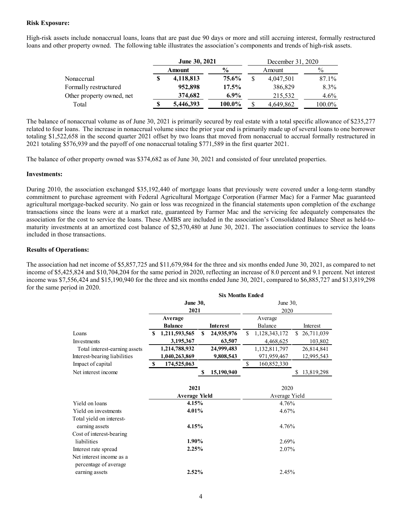#### **Risk Exposure:**

High-risk assets include nonaccrual loans, loans that are past due 90 days or more and still accruing interest, formally restructured loans and other property owned. The following table illustrates the association's components and trends of high-risk assets.

|                           | June 30, 2021 |               |     | December 31, 2020 |               |
|---------------------------|---------------|---------------|-----|-------------------|---------------|
|                           | Amount        | $\frac{0}{0}$ |     | Amount            | $\frac{0}{0}$ |
| Nonaccrual                | 4,118,813     | 75.6%         | \$. | 4,047,501         | 87.1%         |
| Formally restructured     | 952,898       | 17.5%         |     | 386,829           | 8.3%          |
| Other property owned, net | 374,682       | $6.9\%$       |     | 215,532           | $4.6\%$       |
| Total                     | 5,446,393     | 100.0%        |     | 4,649,862         | 100.0%        |

The balance of nonaccrual volume as of June 30, 2021 is primarily secured by real estate with a total specific allowance of \$235,277 related to four loans. The increase in nonaccrual volume since the prior year end is primarily made up of several loans to one borrower totaling \$1,522,658 in the second quarter 2021 offset by two loans that moved from nonaccrual to accrual formally restructured in 2021 totaling \$576,939 and the payoff of one nonaccrual totaling \$771,589 in the first quarter 2021.

The balance of other property owned was \$374,682 as of June 30, 2021 and consisted of four unrelated properties.

#### **Investments:**

During 2010, the association exchanged \$35,192,440 of mortgage loans that previously were covered under a long-term standby commitment to purchase agreement with Federal Agricultural Mortgage Corporation (Farmer Mac) for a Farmer Mac guaranteed agricultural mortgage-backed security. No gain or loss was recognized in the financial statements upon completion of the exchange transactions since the loans were at a market rate, guaranteed by Farmer Mac and the servicing fee adequately compensates the association for the cost to service the loans. These AMBS are included in the association's Consolidated Balance Sheet as held-tomaturity investments at an amortized cost balance of \$2,570,480 at June 30, 2021. The association continues to service the loans included in those transactions.

## **Results of Operations:**

The association had net income of \$5,857,725 and \$11,679,984 for the three and six months ended June 30, 2021, as compared to net income of \$5,425,824 and \$10,704,204 for the same period in 2020, reflecting an increase of 8.0 percent and 9.1 percent. Net interest income was \$7,556,424 and \$15,190,940 for the three and six months ended June 30, 2021, compared to \$6,885,727 and \$13,819,298 for the same period in 2020.  **Six Months Ended** 

|                                                   |                         |                              |   | Six Months Enged |    |                       |    |            |  |
|---------------------------------------------------|-------------------------|------------------------------|---|------------------|----|-----------------------|----|------------|--|
|                                                   | <b>June 30,</b><br>2021 |                              |   | June 30,<br>2020 |    |                       |    |            |  |
|                                                   |                         | Average                      |   |                  |    | Average               |    |            |  |
|                                                   |                         | <b>Balance</b>               |   | <b>Interest</b>  |    | Balance               |    | Interest   |  |
| Loans                                             | \$                      | 1,211,593,565                | S | 24,935,976       | \$ | 1,128,343,172         | S. | 26,711,039 |  |
| Investments                                       |                         | 3,195,367                    |   | 63,507           |    | 4,468,625             |    | 103,802    |  |
| Total interest-earning assets                     |                         | 1,214,788,932                |   | 24,999,483       |    | 1,132,811,797         |    | 26,814,841 |  |
| Interest-bearing liabilities                      |                         | 1,040,263,869                |   | 9,808,543        |    | 971,959,467           |    | 12,995,543 |  |
| Impact of capital                                 | S.                      | 174,525,063                  |   |                  | \$ | 160,852,330           |    |            |  |
| Net interest income                               |                         |                              | S | 15,190,940       |    |                       | S  | 13,819,298 |  |
|                                                   |                         | 2021<br><b>Average Yield</b> |   |                  |    | 2020<br>Average Yield |    |            |  |
| Yield on loans                                    |                         | 4.15%                        |   |                  |    | 4.76%                 |    |            |  |
| Yield on investments                              |                         | 4.01%                        |   |                  |    | 4.67%                 |    |            |  |
| Total yield on interest-<br>earning assets        |                         | 4.15%                        |   |                  |    | 4.76%                 |    |            |  |
| Cost of interest-bearing                          |                         |                              |   |                  |    |                       |    |            |  |
| liabilities                                       |                         | 1.90%                        |   |                  |    | 2.69%                 |    |            |  |
| Interest rate spread                              |                         | 2.25%                        |   |                  |    | 2.07%                 |    |            |  |
| Net interest income as a<br>percentage of average |                         |                              |   |                  |    |                       |    |            |  |
| earning assets                                    |                         | 2.52%                        |   |                  |    | 2.45%                 |    |            |  |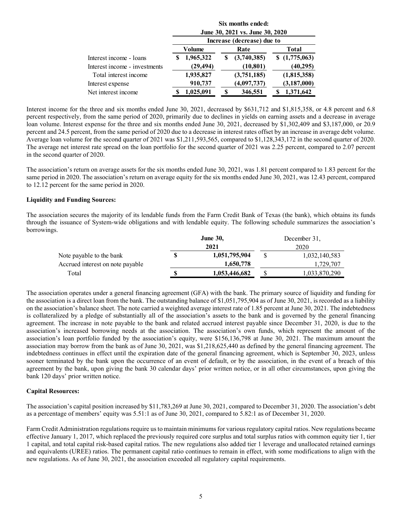|                               | Six months ended:<br>June 30, 2021 vs. June 30, 2020 |               |   |                            |  |               |
|-------------------------------|------------------------------------------------------|---------------|---|----------------------------|--|---------------|
|                               |                                                      |               |   | Increase (decrease) due to |  |               |
|                               |                                                      | <b>Volume</b> |   | Rate                       |  | <b>Total</b>  |
| Interest income - loans       |                                                      | 1,965,322     | S | (3,740,385)                |  | \$(1,775,063) |
| Interest income - investments |                                                      | (29, 494)     |   | (10, 801)                  |  | (40, 295)     |
| Total interest income         |                                                      | 1,935,827     |   | (3,751,185)                |  | (1,815,358)   |
| Interest expense              |                                                      | 910,737       |   | (4,097,737)                |  | (3, 187, 000) |
| Net interest income           |                                                      | 1,025,091     |   | 346,551                    |  | 1,371,642     |
|                               |                                                      |               |   |                            |  |               |

Interest income for the three and six months ended June 30, 2021, decreased by \$631,712 and \$1,815,358, or 4.8 percent and 6.8 percent respectively, from the same period of 2020, primarily due to declines in yields on earning assets and a decrease in average loan volume. Interest expense for the three and six months ended June 30, 2021, decreased by \$1,302,409 and \$3,187,000, or 20.9 percent and 24.5 percent, from the same period of 2020 due to a decrease in interest rates offset by an increase in average debt volume. Average loan volume for the second quarter of 2021 was \$1,211,593,565, compared to \$1,128,343,172 in the second quarter of 2020. The average net interest rate spread on the loan portfolio for the second quarter of 2021 was 2.25 percent, compared to 2.07 percent in the second quarter of 2020.

The association's return on average assets for the six months ended June 30, 2021, was 1.81 percent compared to 1.83 percent for the same period in 2020. The association's return on average equity for the six months ended June 30, 2021, was 12.43 percent, compared to 12.12 percent for the same period in 2020.

#### **Liquidity and Funding Sources:**

The association secures the majority of its lendable funds from the Farm Credit Bank of Texas (the bank), which obtains its funds through the issuance of System-wide obligations and with lendable equity. The following schedule summarizes the association's borrowings.

|                                  |   | <b>June 30,</b> |      | December 31,  |  |
|----------------------------------|---|-----------------|------|---------------|--|
|                                  |   | 2021            | 2020 |               |  |
| Note payable to the bank         | S | 1,051,795,904   |      | 1,032,140,583 |  |
| Accrued interest on note payable |   | 1,650,778       |      | 1.729.707     |  |
| Total                            | S | 1,053,446,682   |      | 1,033,870,290 |  |

The association operates under a general financing agreement (GFA) with the bank. The primary source of liquidity and funding for the association is a direct loan from the bank. The outstanding balance of \$1,051,795,904 as of June 30, 2021, is recorded as a liability on the association's balance sheet. The note carried a weighted average interest rate of 1.85 percent at June 30, 2021. The indebtedness is collateralized by a pledge of substantially all of the association's assets to the bank and is governed by the general financing agreement. The increase in note payable to the bank and related accrued interest payable since December 31, 2020, is due to the association's increased borrowing needs at the association. The association's own funds, which represent the amount of the association's loan portfolio funded by the association's equity, were \$156,136,798 at June 30, 2021. The maximum amount the association may borrow from the bank as of June 30, 2021, was \$1,218,625,440 as defined by the general financing agreement. The indebtedness continues in effect until the expiration date of the general financing agreement, which is September 30, 2023, unless sooner terminated by the bank upon the occurrence of an event of default, or by the association, in the event of a breach of this agreement by the bank, upon giving the bank 30 calendar days' prior written notice, or in all other circumstances, upon giving the bank 120 days' prior written notice.

#### **Capital Resources:**

The association's capital position increased by \$11,783,269 at June 30, 2021, compared to December 31, 2020. The association's debt as a percentage of members' equity was 5.51:1 as of June 30, 2021, compared to 5.82:1 as of December 31, 2020.

Farm Credit Administration regulations require us to maintain minimums for various regulatory capital ratios. New regulations became effective January 1, 2017, which replaced the previously required core surplus and total surplus ratios with common equity tier 1, tier 1 capital, and total capital risk-based capital ratios. The new regulations also added tier 1 leverage and unallocated retained earnings and equivalents (UREE) ratios. The permanent capital ratio continues to remain in effect, with some modifications to align with the new regulations. As of June 30, 2021, the association exceeded all regulatory capital requirements.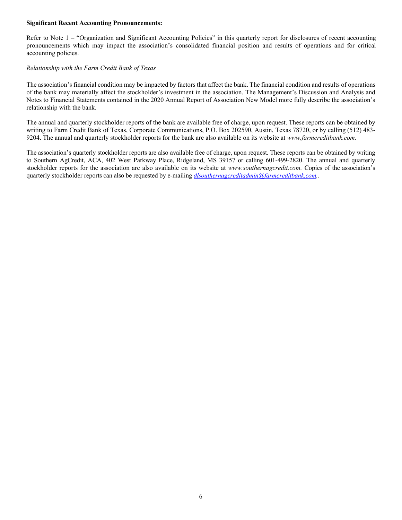#### **Significant Recent Accounting Pronouncements:**

Refer to Note 1 – "Organization and Significant Accounting Policies" in this quarterly report for disclosures of recent accounting pronouncements which may impact the association's consolidated financial position and results of operations and for critical accounting policies.

## *Relationship with the Farm Credit Bank of Texas*

The association's financial condition may be impacted by factors that affect the bank. The financial condition and results of operations of the bank may materially affect the stockholder's investment in the association. The Management's Discussion and Analysis and Notes to Financial Statements contained in the 2020 Annual Report of Association New Model more fully describe the association's relationship with the bank.

The annual and quarterly stockholder reports of the bank are available free of charge, upon request. These reports can be obtained by writing to Farm Credit Bank of Texas, Corporate Communications, P.O. Box 202590, Austin, Texas 78720, or by calling (512) 483- 9204. The annual and quarterly stockholder reports for the bank are also available on its website at *www.farmcreditbank.com.*

The association's quarterly stockholder reports are also available free of charge, upon request. These reports can be obtained by writing to Southern AgCredit, ACA, 402 West Parkway Place, Ridgeland, MS 39157 or calling 601-499-2820. The annual and quarterly stockholder reports for the association are also available on its website at *www.southernagcredit.com.* Copies of the association's quarterly stockholder reports can also be requested by e-mailing *dlsouthernagcreditadmin@farmcreditbank.com..*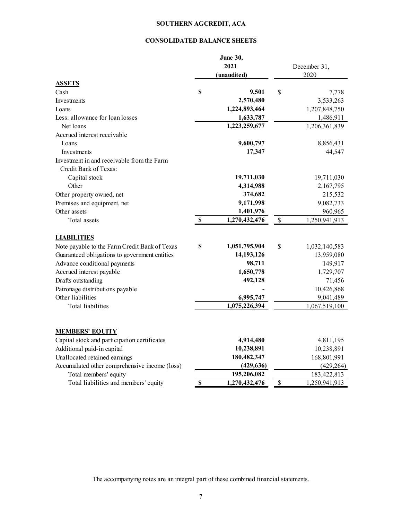## **SOUTHERN AGCREDIT, ACA**

## **CONSOLIDATED BALANCE SHEETS**

|                                               |             | <b>June 30,</b><br>2021<br>(unaudited) | December 31,<br>2020 |
|-----------------------------------------------|-------------|----------------------------------------|----------------------|
| <b>ASSETS</b>                                 |             |                                        |                      |
| Cash                                          | $\mathbf S$ | 9,501                                  | \$<br>7,778          |
| Investments                                   |             | 2,570,480                              | 3,533,263            |
| Loans<br>Less: allowance for loan losses      |             | 1,224,893,464                          | 1,207,848,750        |
|                                               |             | 1,633,787                              | 1,486,911            |
| Net loans                                     |             | 1,223,259,677                          | 1,206,361,839        |
| Accrued interest receivable                   |             |                                        |                      |
| Loans                                         |             | 9,600,797                              | 8,856,431            |
| Investments                                   |             | 17,347                                 | 44,547               |
| Investment in and receivable from the Farm    |             |                                        |                      |
| Credit Bank of Texas:                         |             |                                        |                      |
| Capital stock                                 |             | 19,711,030                             | 19,711,030           |
| Other                                         |             | 4,314,988                              | 2,167,795            |
| Other property owned, net                     |             | 374,682                                | 215,532              |
| Premises and equipment, net                   |             | 9,171,998                              | 9,082,733            |
| Other assets<br>Total assets                  |             | 1,401,976                              | 960,965              |
|                                               | $\mathbb S$ | 1,270,432,476                          | \$<br>1,250,941,913  |
| <b>LIABILITIES</b>                            |             |                                        |                      |
| Note payable to the Farm Credit Bank of Texas | \$          | 1,051,795,904                          | \$<br>1,032,140,583  |
| Guaranteed obligations to government entities |             | 14,193,126                             | 13,959,080           |
| Advance conditional payments                  |             | 98,711                                 | 149,917              |
| Accrued interest payable                      |             | 1,650,778                              | 1,729,707            |
| Drafts outstanding                            |             | 492,128                                | 71,456               |
| Patronage distributions payable               |             |                                        | 10,426,868           |
| Other liabilities                             |             | 6,995,747                              | 9,041,489            |
| <b>Total liabilities</b>                      |             | 1,075,226,394                          | 1,067,519,100        |
| <b>MEMBERS' EQUITY</b>                        |             |                                        |                      |
| Capital stock and participation certificates  |             | 4,914,480                              | 4,811,195            |
| Additional paid-in capital                    |             | 10,238,891                             | 10,238,891           |
| Unallocated retained earnings                 |             | 180,482,347                            | 168,801,991          |
| Accumulated other comprehensive income (loss) |             | (429, 636)                             | (429, 264)           |
| Total members' equity                         |             | 195,206,082                            | 183,422,813          |
| Total liabilities and members' equity         | \$          | 1,270,432,476                          | \$<br>1,250,941,913  |

The accompanying notes are an integral part of these combined financial statements.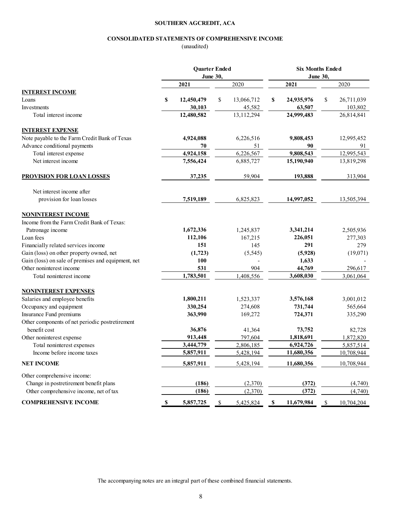## **SOUTHERN AGCREDIT, ACA**

#### **CONSOLIDATED STATEMENTS OF COMPREHENSIVE INCOME**

(unaudited)

|                                                    | <b>Quarter Ended</b><br>June 30, |    |            | <b>Six Months Ended</b><br>June 30, |            |    |            |
|----------------------------------------------------|----------------------------------|----|------------|-------------------------------------|------------|----|------------|
|                                                    | 2021                             |    | 2020       |                                     | 2021       |    | 2020       |
| <b>INTEREST INCOME</b>                             |                                  |    |            |                                     |            |    |            |
| Loans                                              | \$<br>12,450,479                 | \$ | 13,066,712 | \$                                  | 24,935,976 | \$ | 26,711,039 |
| Investments                                        | 30,103                           |    | 45,582     |                                     | 63,507     |    | 103,802    |
| Total interest income                              | 12,480,582                       |    | 13,112,294 |                                     | 24,999,483 |    | 26,814,841 |
| <b>INTEREST EXPENSE</b>                            |                                  |    |            |                                     |            |    |            |
| Note payable to the Farm Credit Bank of Texas      | 4,924,088                        |    | 6,226,516  |                                     | 9,808,453  |    | 12,995,452 |
| Advance conditional payments                       | 70                               |    | 51         |                                     | 90         |    | 91         |
| Total interest expense                             | 4,924,158                        |    | 6,226,567  |                                     | 9,808,543  |    | 12,995,543 |
| Net interest income                                | 7,556,424                        |    | 6,885,727  |                                     | 15,190,940 |    | 13,819,298 |
| <b>PROVISION FOR LOAN LOSSES</b>                   | 37,235                           |    | 59,904     |                                     | 193,888    |    | 313,904    |
| Net interest income after                          |                                  |    |            |                                     |            |    |            |
| provision for loan losses                          | 7,519,189                        |    | 6,825,823  |                                     | 14,997,052 |    | 13,505,394 |
| <b>NONINTEREST INCOME</b>                          |                                  |    |            |                                     |            |    |            |
| Income from the Farm Credit Bank of Texas:         |                                  |    |            |                                     |            |    |            |
| Patronage income                                   | 1,672,336                        |    | 1,245,837  |                                     | 3,341,214  |    | 2,505,936  |
| Loan fees                                          | 112,106                          |    | 167,215    |                                     | 226,051    |    | 277,303    |
| Financially related services income                | 151                              |    | 145        |                                     | 291        |    | 279        |
| Gain (loss) on other property owned, net           | (1,723)                          |    | (5, 545)   |                                     | (5,928)    |    | (19,071)   |
| Gain (loss) on sale of premises and equipment, net | 100                              |    |            |                                     | 1,633      |    |            |
| Other noninterest income                           | 531                              |    | 904        |                                     | 44,769     |    | 296,617    |
| Total noninterest income                           | 1,783,501                        |    | 1,408,556  |                                     | 3,608,030  |    | 3,061,064  |
| <b>NONINTEREST EXPENSES</b>                        |                                  |    |            |                                     |            |    |            |
| Salaries and employee benefits                     | 1,800,211                        |    | 1,523,337  |                                     | 3,576,168  |    | 3,001,012  |
| Occupancy and equipment                            | 330,254                          |    | 274,608    |                                     | 731,744    |    | 565,664    |
| Insurance Fund premiums                            | 363,990                          |    | 169,272    |                                     | 724,371    |    | 335,290    |
| Other components of net periodic postretirement    |                                  |    |            |                                     |            |    |            |
| benefit cost                                       | 36,876                           |    | 41,364     |                                     | 73,752     |    | 82,728     |
| Other noninterest expense                          | 913,448                          |    | 797,604    |                                     | 1,818,691  |    | 1,872,820  |
| Total noninterest expenses                         | 3,444,779                        |    | 2,806,185  |                                     | 6,924,726  |    | 5,857,514  |
| Income before income taxes                         | 5,857,911                        |    | 5,428,194  |                                     | 11,680,356 |    | 10,708,944 |
| <b>NET INCOME</b>                                  | 5,857,911                        |    | 5,428,194  |                                     | 11,680,356 |    | 10,708,944 |
| Other comprehensive income:                        |                                  |    |            |                                     |            |    |            |
| Change in postretirement benefit plans             | (186)                            |    | (2,370)    |                                     | (372)      |    | (4,740)    |
| Other comprehensive income, net of tax             | (186)                            |    | (2,370)    |                                     | (372)      |    | (4,740)    |
| <b>COMPREHENSIVE INCOME</b>                        | \$<br>5,857,725                  | \$ | 5,425,824  | $\mathbb S$                         | 11,679,984 | \$ | 10,704,204 |

The accompanying notes are an integral part of these combined financial statements.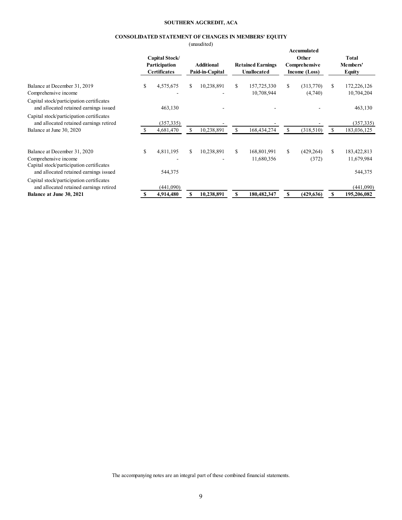#### **SOUTHERN AGCREDIT, ACA**

## **CONSOLIDATED STATEMENT OF CHANGES IN MEMBERS' EQUITY**

(unaudited)

|                                                                                                                                            | Capital Stock/<br>Participation<br><b>Certificates</b> |    | umuniva<br><b>Additional</b><br>Paid-in-Capital |    | <b>Retained Earnings</b><br>Unallocated |    | Accumulated<br>Other<br>Comprehensive<br>Income (Loss) |     | Total<br>Members'<br><b>Equity</b>   |
|--------------------------------------------------------------------------------------------------------------------------------------------|--------------------------------------------------------|----|-------------------------------------------------|----|-----------------------------------------|----|--------------------------------------------------------|-----|--------------------------------------|
| Balance at December 31, 2019<br>Comprehensive income                                                                                       | \$<br>4,575,675                                        | S. | 10,238,891                                      | S. | 157,725,330<br>10,708,944               | S. | (313,770)<br>(4,740)                                   | S.  | 172,226,126<br>10,704,204            |
| Capital stock/participation certificates<br>and allocated retained earnings issued                                                         | 463,130                                                |    |                                                 |    |                                         |    |                                                        |     | 463,130                              |
| Capital stock/participation certificates<br>and allocated retained earnings retired<br>Balance at June 30, 2020                            | (357, 335)<br>4,681,470                                | S  | 10,238,891                                      |    | 168,434,274                             | S. | (318, 510)                                             | S   | (357, 335)<br>183,036,125            |
| Balance at December 31, 2020<br>Comprehensive income<br>Capital stock/participation certificates<br>and allocated retained earnings issued | \$<br>4,811,195<br>544,375                             | S. | 10,238,891                                      | \$ | 168,801,991<br>11,680,356               | S. | (429, 264)<br>(372)                                    | \$. | 183,422,813<br>11,679,984<br>544,375 |
| Capital stock/participation certificates<br>and allocated retained earnings retired<br>Balance at June 30, 2021                            | (441,090)<br>4,914,480                                 |    | 10,238,891                                      |    | 180.482.347                             |    | (429, 636)                                             |     | (441,090)<br>195,206,082             |

The accompanying notes are an integral part of these combined financial statements.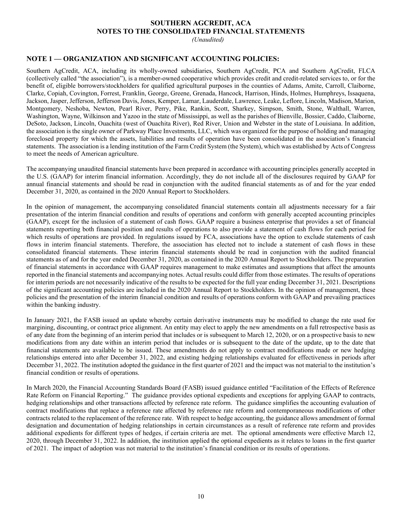## **SOUTHERN AGCREDIT, ACA NOTES TO THE CONSOLIDATED FINANCIAL STATEMENTS**

*(Unaudited)*

## **NOTE 1 — ORGANIZATION AND SIGNIFICANT ACCOUNTING POLICIES:**

Southern AgCredit, ACA, including its wholly-owned subsidiaries, Southern AgCredit, PCA and Southern AgCredit, FLCA (collectively called "the association"), is a member-owned cooperative which provides credit and credit-related services to, or for the benefit of, eligible borrowers/stockholders for qualified agricultural purposes in the counties of Adams, Amite, Carroll, Claiborne, Clarke, Copiah, Covington, Forrest, Franklin, George, Greene, Grenada, Hancock, Harrison, Hinds, Holmes, Humphreys, Issaquena, Jackson, Jasper, Jefferson, Jefferson Davis, Jones, Kemper, Lamar, Lauderdale, Lawrence, Leake, Leflore, Lincoln, Madison, Marion, Montgomery, Neshoba, Newton, Pearl River, Perry, Pike, Rankin, Scott, Sharkey, Simpson, Smith, Stone, Walthall, Warren, Washington, Wayne, Wilkinson and Yazoo in the state of Mississippi, as well as the parishes of Bienville, Bossier, Caddo, Claiborne, DeSoto, Jackson, Lincoln, Ouachita (west of Ouachita River), Red River, Union and Webster in the state of Louisiana. In addition, the association is the single owner of Parkway Place Investments, LLC, which was organized for the purpose of holding and managing foreclosed property for which the assets, liabilities and results of operation have been consolidated in the association's financial statements. The association is a lending institution of the Farm Credit System (the System), which was established by Acts of Congress to meet the needs of American agriculture.

The accompanying unaudited financial statements have been prepared in accordance with accounting principles generally accepted in the U.S. (GAAP) for interim financial information. Accordingly, they do not include all of the disclosures required by GAAP for annual financial statements and should be read in conjunction with the audited financial statements as of and for the year ended December 31, 2020, as contained in the 2020 Annual Report to Stockholders.

In the opinion of management, the accompanying consolidated financial statements contain all adjustments necessary for a fair presentation of the interim financial condition and results of operations and conform with generally accepted accounting principles (GAAP), except for the inclusion of a statement of cash flows. GAAP require a business enterprise that provides a set of financial statements reporting both financial position and results of operations to also provide a statement of cash flows for each period for which results of operations are provided. In regulations issued by FCA, associations have the option to exclude statements of cash flows in interim financial statements. Therefore, the association has elected not to include a statement of cash flows in these consolidated financial statements. These interim financial statements should be read in conjunction with the audited financial statements as of and for the year ended December 31, 2020, as contained in the 2020 Annual Report to Stockholders. The preparation of financial statements in accordance with GAAP requires management to make estimates and assumptions that affect the amounts reported in the financial statements and accompanying notes. Actual results could differ from those estimates. The results of operations for interim periods are not necessarily indicative of the results to be expected for the full year ending December 31, 2021. Descriptions of the significant accounting policies are included in the 2020 Annual Report to Stockholders. In the opinion of management, these policies and the presentation of the interim financial condition and results of operations conform with GAAP and prevailing practices within the banking industry.

In January 2021, the FASB issued an update whereby certain derivative instruments may be modified to change the rate used for margining, discounting, or contract price alignment. An entity may elect to apply the new amendments on a full retrospective basis as of any date from the beginning of an interim period that includes or is subsequent to March 12, 2020, or on a prospective basis to new modifications from any date within an interim period that includes or is subsequent to the date of the update, up to the date that financial statements are available to be issued. These amendments do not apply to contract modifications made or new hedging relationships entered into after December 31, 2022, and existing hedging relationships evaluated for effectiveness in periods after December 31, 2022. The institution adopted the guidance in the first quarter of 2021 and the impact was not material to the institution's financial condition or results of operations.

In March 2020, the Financial Accounting Standards Board (FASB) issued guidance entitled "Facilitation of the Effects of Reference Rate Reform on Financial Reporting." The guidance provides optional expedients and exceptions for applying GAAP to contracts, hedging relationships and other transactions affected by reference rate reform. The guidance simplifies the accounting evaluation of contract modifications that replace a reference rate affected by reference rate reform and contemporaneous modifications of other contracts related to the replacement of the reference rate. With respect to hedge accounting, the guidance allows amendment of formal designation and documentation of hedging relationships in certain circumstances as a result of reference rate reform and provides additional expedients for different types of hedges, if certain criteria are met. The optional amendments were effective March 12, 2020, through December 31, 2022. In addition, the institution applied the optional expedients as it relates to loans in the first quarter of 2021. The impact of adoption was not material to the institution's financial condition or its results of operations.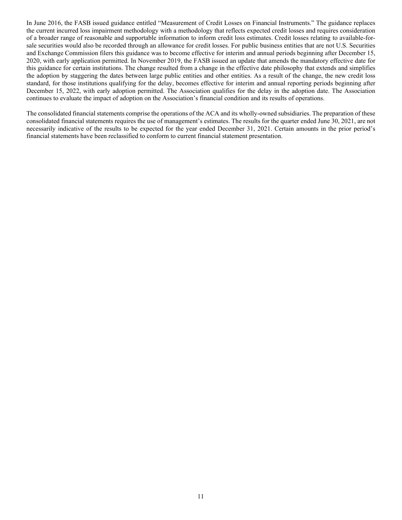In June 2016, the FASB issued guidance entitled "Measurement of Credit Losses on Financial Instruments." The guidance replaces the current incurred loss impairment methodology with a methodology that reflects expected credit losses and requires consideration of a broader range of reasonable and supportable information to inform credit loss estimates. Credit losses relating to available-forsale securities would also be recorded through an allowance for credit losses. For public business entities that are not U.S. Securities and Exchange Commission filers this guidance was to become effective for interim and annual periods beginning after December 15, 2020, with early application permitted. In November 2019, the FASB issued an update that amends the mandatory effective date for this guidance for certain institutions. The change resulted from a change in the effective date philosophy that extends and simplifies the adoption by staggering the dates between large public entities and other entities. As a result of the change, the new credit loss standard, for those institutions qualifying for the delay, becomes effective for interim and annual reporting periods beginning after December 15, 2022, with early adoption permitted. The Association qualifies for the delay in the adoption date. The Association continues to evaluate the impact of adoption on the Association's financial condition and its results of operations.

The consolidated financial statements comprise the operations of the ACA and its wholly-owned subsidiaries. The preparation of these consolidated financial statements requires the use of management's estimates. The results for the quarter ended June 30, 2021, are not necessarily indicative of the results to be expected for the year ended December 31, 2021. Certain amounts in the prior period's financial statements have been reclassified to conform to current financial statement presentation.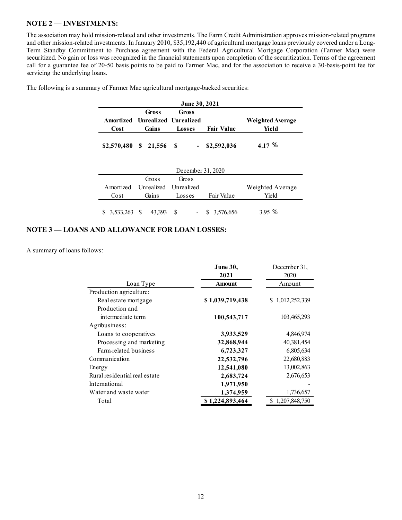## **NOTE 2 — INVESTMENTS:**

The association may hold mission-related and other investments. The Farm Credit Administration approves mission-related programs and other mission-related investments. In January 2010, \$35,192,440 of agricultural mortgage loans previously covered under a Long-Term Standby Commitment to Purchase agreement with the Federal Agricultural Mortgage Corporation (Farmer Mac) were securitized. No gain or loss was recognized in the financial statements upon completion of the securitization. Terms of the agreement call for a guarantee fee of 20-50 basis points to be paid to Farmer Mac, and for the association to receive a 30-basis-point fee for servicing the underlying loans.

|      | <b>June 30, 2021</b>            |        |                   |                  |  |  |  |
|------|---------------------------------|--------|-------------------|------------------|--|--|--|
|      | Gross                           | Gross  |                   |                  |  |  |  |
|      | Amortized Unrealized Unrealized |        |                   | Weighted Average |  |  |  |
| Cost | Gains                           | Losses | <b>Fair Value</b> | Yield            |  |  |  |
|      |                                 |        |                   |                  |  |  |  |

The following is a summary of Farmer Mac agricultural mortgage-backed securities:

| December 31, 2020 |                                 |        |                  |                  |  |  |
|-------------------|---------------------------------|--------|------------------|------------------|--|--|
|                   | Gross                           | Gross  |                  |                  |  |  |
|                   | Amortized Unrealized Unrealized |        |                  | Weighted Average |  |  |
| Cost              | Gains                           | Losses | Fair Value       | Yield            |  |  |
| $$3,533,263$ \,   | 43,393                          |        | $-$ \$ 3,576,656 | 3.95%            |  |  |

## **NOTE 3 — LOANS AND ALLOWANCE FOR LOAN LOSSES:**

A summary of loans follows:

|                               | June 30,        | December 31,    |
|-------------------------------|-----------------|-----------------|
|                               | 2021            | 2020            |
| Loan Type                     | <b>Amount</b>   | Amount          |
| Production agriculture:       |                 |                 |
| Real estate mortgage          | \$1,039,719,438 | \$1,012,252,339 |
| Production and                |                 |                 |
| intermediate term             | 100,543,717     | 103,465,293     |
| Agribusiness:                 |                 |                 |
| Loans to cooperatives         | 3,933,529       | 4,846,974       |
| Processing and marketing      | 32,868,944      | 40,381,454      |
| Farm-related business         | 6,723,327       | 6,805,634       |
| Communication                 | 22,532,796      | 22,680,883      |
| Energy                        | 12,541,080      | 13,002,863      |
| Rural residential real estate | 2,683,724       | 2,676,653       |
| International                 | 1,971,950       |                 |
| Water and waste water         | 1,374,959       | 1,736,657       |
| Total                         | \$1,224,893,464 | \$1,207,848,750 |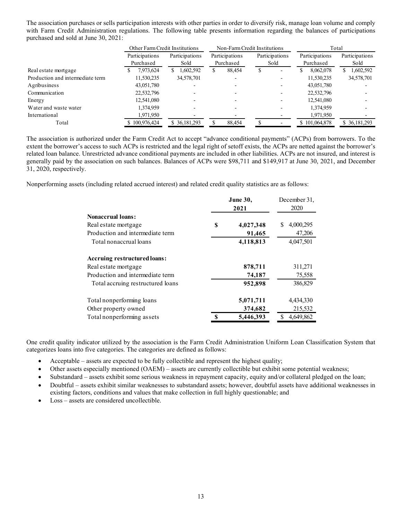The association purchases or sells participation interests with other parties in order to diversify risk, manage loan volume and comply with Farm Credit Administration regulations. The following table presents information regarding the balances of participations purchased and sold at June 30, 2021:

|                                  | Other Farm Credit Institutions |                 |                | Non-Farm Credit Institutions  | Total           |                |  |
|----------------------------------|--------------------------------|-----------------|----------------|-------------------------------|-----------------|----------------|--|
|                                  | Participations                 | Participations  | Participations | Participations                | Participations  | Participations |  |
|                                  | Purchased                      | Sold            | Purchased      | Sold                          | Purchased       | Sold           |  |
| Real estate mortgage             | 7,973,624                      | .602,592<br>S.  | 88,454         | S<br>$\overline{\phantom{0}}$ | 8,062,078<br>υэ | 1,602,592      |  |
| Production and intermediate term | 11,530,235                     | 34,578,701      |                | $\overline{\phantom{0}}$      | 11,530,235      | 34,578,701     |  |
| Agribusiness                     | 43,051,780                     |                 |                |                               | 43,051,780      |                |  |
| Communication                    | 22,532,796                     |                 |                |                               | 22,532,796      |                |  |
| Energy                           | 12,541,080                     |                 |                |                               | 12,541,080      |                |  |
| Water and waste water            | 1,374,959                      |                 |                |                               | 1.374.959       |                |  |
| International                    | 1,971,950                      |                 |                |                               | 1,971,950       |                |  |
| Total                            | \$100,976,424                  | \$ 36, 181, 293 | 88,454         |                               | \$101,064,878   | \$36,181,293   |  |

The association is authorized under the Farm Credit Act to accept "advance conditional payments" (ACPs) from borrowers. To the extent the borrower's access to such ACPs is restricted and the legal right of setoff exists, the ACPs are netted against the borrower's related loan balance. Unrestricted advance conditional payments are included in other liabilities. ACPs are not insured, and interest is generally paid by the association on such balances. Balances of ACPs were \$98,711 and \$149,917 at June 30, 2021, and December 31, 2020, respectively.

Nonperforming assets (including related accrued interest) and related credit quality statistics are as follows:

|                                   | June 30,<br>2021 |           | December 31,<br>2020 |
|-----------------------------------|------------------|-----------|----------------------|
| <b>Nonaccrual loans:</b>          |                  |           |                      |
| Real estate mortgage              | S                | 4,027,348 | S<br>4,000,295       |
| Production and intermediate term  |                  | 91,465    | 47,206               |
| Total nonaccrual loans            |                  | 4,118,813 | 4,047,501            |
| Accruing restructured loans:      |                  |           |                      |
| Real estate mortgage              |                  | 878,711   | 311,271              |
| Production and intermediate term  |                  | 74,187    | 75,558               |
| Total accruing restructured loans |                  | 952,898   | 386,829              |
| Total nonperforming loans         |                  | 5,071,711 | 4,434,330            |
| Other property owned              |                  | 374,682   | 215,532              |
| Total nonperforming assets        | \$               | 5,446,393 | 4,649,862            |

One credit quality indicator utilized by the association is the Farm Credit Administration Uniform Loan Classification System that categorizes loans into five categories. The categories are defined as follows:

- Acceptable assets are expected to be fully collectible and represent the highest quality;
- Other assets especially mentioned (OAEM) assets are currently collectible but exhibit some potential weakness;
- Substandard assets exhibit some serious weakness in repayment capacity, equity and/or collateral pledged on the loan;
- Doubtful assets exhibit similar weaknesses to substandard assets; however, doubtful assets have additional weaknesses in existing factors, conditions and values that make collection in full highly questionable; and
- Loss assets are considered uncollectible.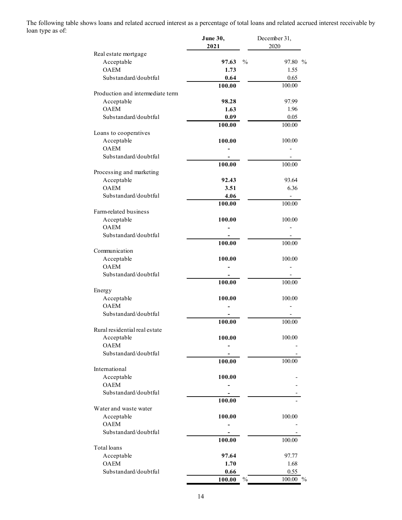The following table shows loans and related accrued interest as a percentage of total loans and related accrued interest receivable by loan type as of:

|                                  | June 30,<br>2021       | December 31,<br>2020 |
|----------------------------------|------------------------|----------------------|
| Real estate mortgage             |                        |                      |
| Acceptable                       | $\frac{0}{0}$<br>97.63 | 97.80 %              |
| <b>OAEM</b>                      | 1.73                   | 1.55                 |
| Substandard/doubtful             | 0.64                   | 0.65                 |
| Production and intermediate term | 100.00                 | 100.00               |
|                                  | 98.28                  | 97.99                |
| Acceptable<br><b>OAEM</b>        | 1.63                   | 1.96                 |
| Substandard/doubtful             | 0.09                   | 0.05                 |
|                                  | 100.00                 | 100.00               |
| Loans to cooperatives            |                        |                      |
| Acceptable                       | 100.00                 | 100.00               |
| <b>OAEM</b>                      |                        |                      |
| Substandard/doubtful             |                        |                      |
|                                  | 100.00                 | 100.00               |
| Processing and marketing         |                        |                      |
| Acceptable                       | 92.43                  | 93.64                |
| <b>OAEM</b>                      | 3.51                   | 6.36                 |
| Substandard/doubtful             | 4.06                   | -                    |
|                                  | 100.00                 | 100.00               |
| Farm-related business            |                        |                      |
| Acceptable                       | 100.00                 | 100.00               |
| <b>OAEM</b>                      |                        |                      |
| Substandard/doubtful             |                        |                      |
| Communication                    | 100.00                 | 100.00               |
| Acceptable                       | 100.00                 | 100.00               |
| <b>OAEM</b>                      |                        |                      |
| Substandard/doubtful             |                        |                      |
|                                  | 100.00                 | 100.00               |
| Energy                           |                        |                      |
| Acceptable                       | 100.00                 | 100.00               |
| <b>OAEM</b>                      |                        |                      |
| Substandard/doubtful             |                        |                      |
|                                  | 100.00                 | 100.00               |
| Rural residential real estate    |                        |                      |
| Acceptable                       | 100.00                 | 100.00               |
| <b>OAEM</b>                      |                        |                      |
| Substandard/doubtful             | 100.00                 |                      |
| International                    |                        | 100.00               |
| Acceptable                       | 100.00                 |                      |
| <b>OAEM</b>                      |                        |                      |
| Substandard/doubtful             |                        |                      |
|                                  | 100.00                 |                      |
| Water and waste water            |                        |                      |
| Acceptable                       | 100.00                 | 100.00               |
| <b>OAEM</b>                      |                        |                      |
| Substandard/doubtful             |                        |                      |
|                                  | 100.00                 | 100.00               |
| Total loans                      |                        |                      |
| Acceptable                       | 97.64                  | 97.77                |
| <b>OAEM</b>                      | 1.70                   | 1.68                 |
| Substandard/doubtful             | 0.66                   | 0.55                 |
|                                  | 100.00<br>$\%$         | 100.00 %             |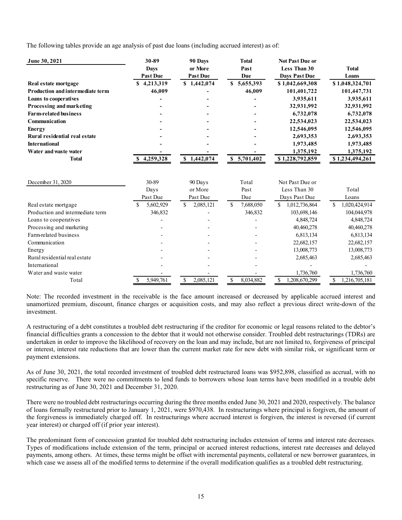The following tables provide an age analysis of past due loans (including accrued interest) as of:

| June 30, 2021                           | 30-89           | 90 Days         | <b>Total</b>    | <b>Not Past Due or</b> |                     |
|-----------------------------------------|-----------------|-----------------|-----------------|------------------------|---------------------|
|                                         | <b>Days</b>     | or More         | Past            | Less Than 30           | <b>Total</b>        |
|                                         | <b>Past Due</b> | <b>Past Due</b> | Due             | <b>Days Past Due</b>   | Loans               |
| Real estate mortgage                    | 4,213,319<br>S  | \$1,442,074     | \$5,655,393     | \$1,042,669,308        | \$1,048,324,701     |
| <b>Production and intermediate term</b> | 46,009          |                 | 46,009          | 101,401,722            | 101,447,731         |
| Loans to cooperatives                   |                 |                 |                 | 3,935,611              | 3,935,611           |
| Processing and marketing                |                 |                 |                 | 32,931,992             | 32,931,992          |
| <b>Farm-related business</b>            |                 |                 |                 | 6,732,078              | 6,732,078           |
| Communication                           |                 |                 |                 | 22,534,023             | 22,534,023          |
| <b>Energy</b>                           |                 |                 |                 | 12,546,095             | 12,546,095          |
| Rural residential real estate           |                 |                 |                 | 2,693,353              | 2,693,353           |
| <b>International</b>                    |                 |                 |                 | 1,973,485              | 1,973,485           |
| Water and was te water                  |                 |                 |                 | 1,375,192              | 1,375,192           |
| <b>Total</b>                            | \$4,259,328     | \$1,442,074     | \$5,701,402     | \$1,228,792,859        | \$1,234,494,261     |
| December 31, 2020                       | 30-89           | 90 Days         | Total           | Not Past Due or        |                     |
|                                         | Days            | or More         | Past            | Less Than 30           | Total               |
|                                         | Past Due        | Past Due        | Due             | Days Past Due          | Loans               |
| Real estate mortgage                    | 5,602,929       | \$<br>2,085,121 | \$<br>7,688,050 | \$<br>1,012,736,864    | \$<br>1,020,424,914 |
| Production and intermediate term        | 346,832         |                 | 346,832         | 103,698,146            | 104,044,978         |
| Loans to cooperatives                   |                 |                 |                 | 4,848,724              | 4,848,724           |
| Processing and marketing                |                 |                 |                 | 40,460,278             | 40,460,278          |
| Farm-related business                   |                 |                 |                 | 6,813,134              | 6,813,134           |
| Communication                           |                 |                 |                 | 22,682,157             | 22,682,157          |
| Energy                                  |                 |                 |                 | 13,008,773             | 13,008,773          |
| Rural residential real estate           |                 |                 |                 | 2,685,463              | 2,685,463           |
| International                           |                 |                 |                 |                        |                     |
| Water and waste water                   |                 |                 |                 | 1,736,760              | 1,736,760           |
| Total                                   | 5,949,761<br>\$ | 2,085,121<br>\$ | \$<br>8,034,882 | \$<br>1,208,670,299    | \$<br>1,216,705,181 |

Note: The recorded investment in the receivable is the face amount increased or decreased by applicable accrued interest and unamortized premium, discount, finance charges or acquisition costs, and may also reflect a previous direct write-down of the investment.

A restructuring of a debt constitutes a troubled debt restructuring if the creditor for economic or legal reasons related to the debtor's financial difficulties grants a concession to the debtor that it would not otherwise consider. Troubled debt restructurings (TDRs) are undertaken in order to improve the likelihood of recovery on the loan and may include, but are not limited to, forgiveness of principal or interest, interest rate reductions that are lower than the current market rate for new debt with similar risk, or significant term or payment extensions.

As of June 30, 2021, the total recorded investment of troubled debt restructured loans was \$952,898, classified as accrual, with no specific reserve. There were no commitments to lend funds to borrowers whose loan terms have been modified in a trouble debt restructuring as of June 30, 2021 and December 31, 2020.

There were no troubled debt restructurings occurring during the three months ended June 30, 2021 and 2020, respectively. The balance of loans formally restructured prior to January 1, 2021, were \$970,438. In restructurings where principal is forgiven, the amount of the forgiveness is immediately charged off. In restructurings where accrued interest is forgiven, the interest is reversed (if current year interest) or charged off (if prior year interest).

The predominant form of concession granted for troubled debt restructuring includes extension of terms and interest rate decreases. Types of modifications include extension of the term, principal or accrued interest reductions, interest rate decreases and delayed payments, among others. At times, these terms might be offset with incremental payments, collateral or new borrower guarantees, in which case we assess all of the modified terms to determine if the overall modification qualifies as a troubled debt restructuring.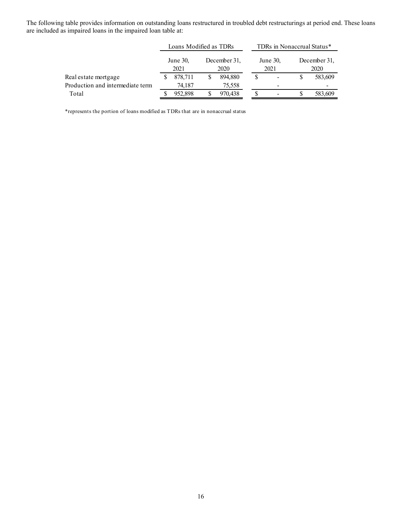The following table provides information on outstanding loans restructured in troubled debt restructurings at period end. These loans are included as impaired loans in the impaired loan table at:

|                                  |                  | Loans Modified as TDRs |                      |                  | TDRs in Nonaccrual Status* |                      |         |  |
|----------------------------------|------------------|------------------------|----------------------|------------------|----------------------------|----------------------|---------|--|
|                                  | June 30,<br>2021 |                        | December 31,<br>2020 | June 30,<br>2021 |                            | December 31,<br>2020 |         |  |
| Real estate mortgage             |                  | 878,711                | 894,880              |                  | $\overline{\phantom{a}}$   |                      | 583,609 |  |
| Production and intermediate term |                  | 74.187                 | 75,558               |                  | $\overline{\phantom{a}}$   |                      |         |  |
| Total                            |                  | 952,898                | 970,438              |                  | $\overline{\phantom{a}}$   |                      | 583,609 |  |

\*represents the portion of loans modified as TDRs that are in nonaccrual status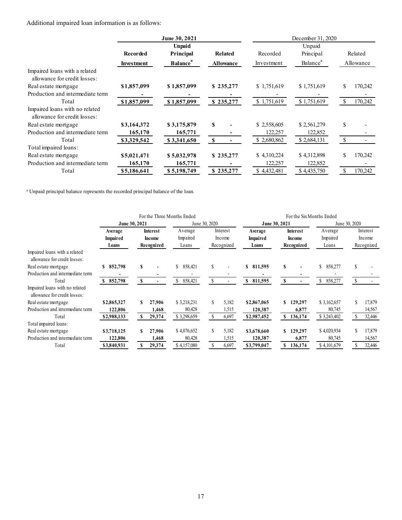Additional impaired loan information is as follows:

|                   | June 30, 2021               |                  | December 31, 2020 |                      |               |           |  |  |
|-------------------|-----------------------------|------------------|-------------------|----------------------|---------------|-----------|--|--|
|                   | <b>Unpaid</b>               |                  |                   | Unpaid               |               |           |  |  |
| Recorded          | Principal                   | Related          | Recorded          | Principal            |               | Related   |  |  |
| <b>Investment</b> | <b>Balance</b> <sup>a</sup> | <b>Allowance</b> | Investment        | Balance <sup>a</sup> |               | Allowance |  |  |
|                   |                             |                  |                   |                      |               |           |  |  |
| \$1,857,099       | \$1,857,099                 | \$235,277        | \$1,751,619       | \$1,751,619          | \$            | 170,242   |  |  |
|                   |                             |                  |                   |                      |               |           |  |  |
| \$1,857,099       | \$1,857,099                 | \$235,277        | \$1,751,619       | \$1,751,619          | <sup>\$</sup> | 170,242   |  |  |
|                   |                             |                  |                   |                      |               |           |  |  |
| \$3,164,372       | \$3,175,879                 | \$               | \$2,558,605       | \$2,561,279          | \$            |           |  |  |
| 165,170           | 165,771                     |                  | 122,257           | 122,852              |               |           |  |  |
| \$3,329,542       | \$3,341,650                 | <b>S</b>         | \$2,680,862       | \$2,684,131          | - \$          |           |  |  |
|                   |                             |                  |                   |                      |               |           |  |  |
| \$5,021,471       | \$5,032,978                 | \$235,277        | \$4,310,224       | \$4,312,898          | S             | 170,242   |  |  |
| 165,170           | 165,771                     |                  | 122,257           | 122,852              |               |           |  |  |
| \$5,186,641       | \$5,198,749                 | \$235,277        | \$4,432,481       | \$4,435,750          |               | 170,242   |  |  |
|                   |                             |                  |                   |                      |               |           |  |  |

<sup>a</sup> Unpaid principal balance represents the recorded principal balance of the loan.

|                                  |                 |    |               | For the Three Months Ended |               |            |                 | For the Six Months Ended |                 |               |               |            |  |
|----------------------------------|-----------------|----|---------------|----------------------------|---------------|------------|-----------------|--------------------------|-----------------|---------------|---------------|------------|--|
|                                  | June 30, 2021   |    |               |                            | June 30, 2020 |            | June 30, 2021   |                          |                 |               | June 30, 2020 |            |  |
|                                  | Average         |    | Interest      | Average                    |               | Interest   | Average         |                          | <b>Interest</b> | Average       |               | Interest   |  |
|                                  | <b>Impaired</b> |    | <b>Income</b> | Impaired                   |               | Income     | <b>Impaired</b> |                          | Income          | Impaired      |               | Income     |  |
|                                  | Loans           |    | Recognized    | Loans                      |               | Recognized | Loans           |                          | Recognized      | Loans         |               | Recognized |  |
| Impaired loans with a related    |                 |    |               |                            |               |            |                 |                          |                 |               |               |            |  |
| allowance for credit losses:     |                 |    |               |                            |               |            |                 |                          |                 |               |               |            |  |
| Real estate mortgage             | 852,798<br>\$   | S  |               | \$<br>858,421              | \$            |            | \$ 811,595      | S                        |                 | \$<br>858,277 | \$            |            |  |
| Production and intermediate term |                 |    |               |                            |               |            |                 |                          |                 |               |               |            |  |
| Total                            | 852,798<br>S.   | S  |               | 858,421                    | $\mathcal{L}$ |            | 811,595<br>S    | S                        |                 | 858,277       |               |            |  |
| Impaired loans with no related   |                 |    |               |                            |               |            |                 |                          |                 |               |               |            |  |
| allowance for credit losses:     |                 |    |               |                            |               |            |                 |                          |                 |               |               |            |  |
| Real estate mortgage             | \$2,865,327     |    | 27.906        | \$3,218,231                | \$            | 5,182      | \$2,867,065     |                          | 129,297         | \$3,162,657   |               | 17,879     |  |
| Production and intermediate term | 122,806         |    | 1,468         | 80,428                     |               | 1,515      | 120,387         |                          | 6,877           | 80,745        |               | 14,567     |  |
| Total                            | \$2,988,133     | S  | 29,374        | \$3,298,659                |               | 6,697      | \$2,987,452     | S                        | 136,174         | \$3,243,402   |               | 32,446     |  |
| Total impaired loans:            |                 |    |               |                            |               |            |                 |                          |                 |               |               |            |  |
| Real estate mortgage             | \$3,718,125     | \$ | 27.906        | \$4,076,652                | S             | 5,182      | \$3,678,660     | S                        | 129,297         | \$4,020,934   |               | 17,879     |  |
| Production and intermediate term | 122.806         |    | 1,468         | 80,428                     |               | 1,515      | 120,387         |                          | 6,877           | 80,745        |               | 14,567     |  |
| Total                            | \$3,840,931     | S  | 29,374        | \$4,157,080                |               | 6,697      | \$3,799,047     |                          | 136,174         | \$4,101,679   |               | 32,446     |  |
|                                  |                 |    |               |                            |               |            |                 |                          |                 |               |               |            |  |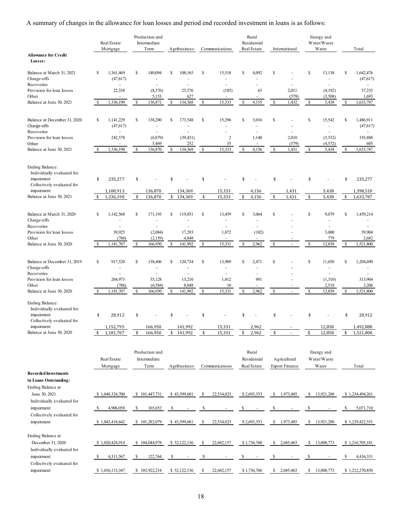A summary of changes in the allowance for loan losses and period end recorded investment in loans is as follows:

|                                                                                                  |               | Real Estate<br>Mortgage            |    | Production and<br>Intermediate<br>Term       |    | Agribusiness         |    | Communications                                                |    | Rural<br>Residential<br>Real Estate |    | International                         |    | Energy and<br>Water/Waste<br>Water                             |    | Total                  |
|--------------------------------------------------------------------------------------------------|---------------|------------------------------------|----|----------------------------------------------|----|----------------------|----|---------------------------------------------------------------|----|-------------------------------------|----|---------------------------------------|----|----------------------------------------------------------------|----|------------------------|
| <b>Allowance for Credit</b><br>Losses:                                                           |               |                                    |    |                                              |    |                      |    |                                                               |    |                                     |    |                                       |    |                                                                |    |                        |
| Balance at March 31, 2021<br>Charge-offs                                                         | \$            | 1,361,469<br>(47, 617)             | S  | 140,094<br>ä,                                | S  | 108,165<br>L,        | \$ | 15,518<br>$\sim$                                              | S  | 4,092                               | S  |                                       | \$ | 13,138<br>$\overline{\phantom{a}}$                             | \$ | 1,642,476<br>(47, 617) |
| Recoveries<br>Provision for loan losses<br>Other                                                 |               | 22,338<br>$\overline{\phantom{a}}$ |    | ä,<br>(8,376)<br>5,153                       |    | ä,<br>25,576<br>627  |    | $\overline{\phantom{a}}$<br>(185)<br>$\overline{\phantom{a}}$ |    | ÷,<br>63                            |    | 2,011<br>(579)                        |    | $\omega$<br>(4,192)<br>(3,508)                                 |    | 37,235<br>1,693        |
| Balance at June 30, 2021                                                                         | <sup>\$</sup> | 1,336,190                          | S  | 136,871                                      | S  | 134,368              | \$ | 15,333                                                        | s  | 4,155                               | \$ | 1,432                                 | \$ | 5,438                                                          | \$ | 1,633,787              |
| Balance at December 31, 2020<br>Charge-offs<br>Recoveries                                        | \$            | 1,141,229<br>(47, 617)             | S  | 138,280<br>ä,<br>$\mathcal{L}_{\mathcal{A}}$ | S  | 173,548<br>L,        | \$ | 15,296                                                        | S  | 3,016<br>ä,<br>ä,                   | \$ | ä,                                    | \$ | 15,542<br>$\overline{\phantom{a}}$<br>÷,                       | \$ | 1,486,911<br>(47, 617) |
| Provision for loan losses<br>Other                                                               |               | 242,578                            |    | (6, 879)<br>5,469                            |    | (39, 431)<br>252     |    | $\sqrt{2}$<br>35                                              |    | 1,140<br>$\overline{\phantom{a}}$   |    | 2,010<br>(579)                        |    | (5, 532)<br>(4,572)                                            |    | 193,888<br>605         |
| Balance at June 30, 2021                                                                         |               | 1,336,190                          | s  | 136,870                                      | S  | 134,369              | \$ | 15,333                                                        | S  | 4,156                               | S  | 1,431                                 | \$ | 5,438                                                          | S  | 1,633,787              |
| <b>Ending Balance:</b><br>Individually evaluated for<br>impairment<br>Collectively evaluated for | \$            | 235,277                            | \$ |                                              | \$ |                      | \$ |                                                               | \$ |                                     | \$ |                                       | \$ |                                                                | \$ | 235,277                |
| impairment<br>Balance at June 30, 2021                                                           | -S            | 1,100,913<br>1,336,190             | \$ | 136,870<br>136,870                           | \$ | 134,369<br>134,369   | \$ | 15,333<br>15,333                                              | \$ | 4,156<br>4,156                      | \$ | 1,431<br>1,431                        | \$ | 5,438<br>5,438                                                 | \$ | 1,398,510<br>1,633,787 |
| Balance at March 31, 2020<br>Charge-offs<br>Recoveries                                           | \$            | 1,142,568<br>$\sim$                | S  | 171,193<br>÷,<br>ä,                          | S  | 119,851<br>ä,        | \$ | 13,459<br>$\blacksquare$<br>$\overline{\phantom{a}}$          | S  | 3,064<br>$\overline{\phantom{a}}$   | S  |                                       | \$ | 9,079<br>$\sim$<br>$\sim$                                      | \$ | 1,459,214<br>$\sim$    |
| Provision for loan losses                                                                        |               | 39,925                             |    | (2,084)                                      |    | 17,293               |    | 1,872                                                         |    | (102)                               |    |                                       |    | 3,000                                                          |    | 59,904                 |
| Other<br>Balance at June 30, 2020                                                                | -S            | (786)<br>1,181,707                 | S  | (2,159)<br>166,950                           | S  | 4,848<br>141,992     | \$ | $\sim$<br>15,331                                              | S  | 2,962                               | \$ |                                       | \$ | 779<br>12,858                                                  | -S | 2,682<br>1,521,800     |
| Balance at December 31, 2019<br>Charge-offs<br>Recoveries                                        | \$            | 917,520<br>$\sim$                  | S  | 138,406<br>ä,<br>ä,                          | S  | 120,734<br>L,<br>ä,  | \$ | 13,909<br>$\sim$<br>÷.                                        | S  | 2,471<br>÷,                         | \$ |                                       | \$ | 11,650<br>$\overline{\phantom{a}}$<br>$\overline{\phantom{a}}$ | \$ | 1,204,690<br>ä,        |
| Provision for loan losses<br>Other                                                               |               | 264,973<br>(786)                   |    | 35,128<br>(6, 584)                           |    | 13,210<br>8,048      |    | 1,412<br>10                                                   |    | 491                                 |    |                                       |    | (1,310)<br>2,518                                               |    | 313,904<br>3,206       |
| Balance at June 30, 2020                                                                         |               | 1,181,707                          | S  | 166,950                                      | S  | 141,992              | \$ | 15,331                                                        | S  | 2,962                               | \$ |                                       | \$ | 12,858                                                         | -S | 1,521,800              |
| <b>Ending Balance:</b><br>Individually evaluated for<br>impairment<br>Collectively evaluated for | \$            | 28,912                             | \$ |                                              |    |                      | \$ |                                                               |    |                                     |    |                                       |    |                                                                | \$ | 28,912                 |
| impairment<br>Balance at June 30, 2020                                                           | \$            | 1,152,795<br>1,181,707             | \$ | 166,950<br>166,950                           |    | 141,992<br>\$141,992 | \$ | 15,331<br>15,331                                              | \$ | 2,962<br>2,962                      | \$ |                                       | \$ | 12,858<br>12,858                                               | \$ | 1,492,888<br>1,521,800 |
| <b>Recorded Investments</b>                                                                      |               | Real Estate<br>Mortgage            |    | Production and<br>Intermediate<br>Term       |    | Agribusiness         |    | Communications                                                |    | Rural<br>Residential<br>Real Estate |    | Agricultural<br><b>Export Finance</b> |    | Energy and<br>Water/Waste<br>Water                             |    | Total                  |
| in Loans Outstanding:<br>Ending Balance at<br>June 30, 2021<br>Individually evaluated for        |               | \$1,048,324,700                    |    | \$101,447,731                                |    | \$43,599,681         | S  | 22,534,023                                                    |    | \$2,693,353                         | \$ | 1,973,485                             | \$ | 13,921,288                                                     |    | \$1,234,494,261        |
| impairment                                                                                       | -S            | 4,906,058                          | S  | 165,652                                      | S  |                      | \$ |                                                               | S  |                                     | \$ |                                       | S  |                                                                | \$ | 5,071,710              |
| Collectively evaluated for<br>impairment                                                         |               | \$1,043,418,642                    |    | \$101,282,079                                |    | \$43,599,681         | S  | 22,534,023                                                    |    | \$2,693,353                         |    | \$1,973,485                           | \$ | 13,921,288                                                     |    | \$1,229,422,551        |
| Ending Balance at<br>December 31, 2020<br>Individually evaluated for                             |               | \$1,020,424,914                    |    | \$104,044,978                                |    | \$ 52,122,136        | -S | 22,682,157                                                    |    | \$1,736,760                         |    | $\frac{1}{2}$ , 2,685,463             |    | \$ 13,008,773                                                  |    | \$1,216,705,181        |
| impairment<br>Collectively evaluated for                                                         | -S            | 4,311,567                          | S  | 122,764                                      | S  |                      | \$ |                                                               | S  |                                     |    |                                       | \$ |                                                                | \$ | 4,434,331              |
| impairment                                                                                       |               | \$1,016,113,347                    |    | \$103,922,214                                |    | \$52,122,136         | \$ | 22,682,157                                                    |    | \$1,736,760                         | S. | 2,685,463                             |    | \$13,008,773                                                   |    | \$1,212,270,850        |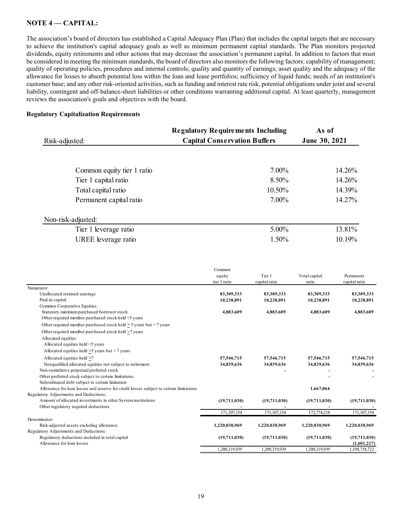## **NOTE 4 –– CAPITAL:**

The association's board of directors has established a Capital Adequacy Plan (Plan) that includes the capital targets that are necessary to achieve the institution's capital adequacy goals as well as minimum permanent capital standards. The Plan monitors projected dividends, equity retirements and other actions that may decrease the association's permanent capital. In addition to factors that must be considered in meeting the minimum standards, the board of directors also monitors the following factors: capability of management; quality of operating policies, procedures and internal controls; quality and quantity of earnings; asset quality and the adequacy of the allowance for losses to absorb potential loss within the loan and lease portfolios; sufficiency of liquid funds; needs of an institution's customer base; and any other risk-oriented activities, such as funding and interest rate risk, potential obligations under joint and several liability, contingent and off-balance-sheet liabilities or other conditions warranting additional capital. At least quarterly, management reviews the association's goals and objectives with the board.

#### **Regulatory Capitalization Requirements**

| Risk-adjusted:             | <b>Regulatory Requirements Including</b><br><b>Capital Conservation Buffers</b> | As of<br>June 30, 2021 |
|----------------------------|---------------------------------------------------------------------------------|------------------------|
|                            |                                                                                 |                        |
| Common equity tier 1 ratio | 7.00%                                                                           | 14.26%                 |
| Tier 1 capital ratio       | 8.50%                                                                           | 14.26%                 |
| Total capital ratio        | 10.50%                                                                          | 14.39%                 |
| Permanent capital ratio    | 7.00%                                                                           | 14.27%                 |
| Non-risk-adjusted:         |                                                                                 |                        |
| Tier 1 leverage ratio      | 5.00%                                                                           | 13.81%                 |
| UREE leverage ratio        | 1.50%                                                                           | 10.19%                 |
|                            |                                                                                 |                        |

|                                                                                        | Common        |               |               |               |
|----------------------------------------------------------------------------------------|---------------|---------------|---------------|---------------|
|                                                                                        | equity        | Tier 1        | Total capital | Permanent     |
|                                                                                        | tier 1 ratio  | capital ratio | ratio         | capital ratio |
| Numerator:                                                                             |               |               |               |               |
| Unallocated retained earnings                                                          | 83,309,333    | 83.309.333    | 83.309.333    | 83,309,333    |
| Paid-in capital                                                                        | 10,238,891    | 10,238,891    | 10,238,891    | 10,238,891    |
| Common Cooperative Equities:                                                           |               |               |               |               |
| Statutory minimum purchased borrower stock                                             | 4,883,609     | 4,883,609     | 4,883,609     | 4,883,609     |
| Other required member purchased stock held <5 years                                    |               |               |               |               |
| Other required member purchased stock held $>$ 5 years but < 7 years                   |               |               |               |               |
| Other required member purchased stock held >7 years                                    |               |               |               |               |
| Allocated equities:                                                                    |               |               |               |               |
| Allocated equities held <5 years                                                       |               |               |               |               |
| Allocated equities held >5 years but < 7 years                                         |               |               |               |               |
| Allocated equities held >7                                                             | 57,546,715    | 57,546,715    | 57,546,715    | 57,546,715    |
| Nonqualified allocated equities not subject to retirement                              | 34,839,636    | 34,839,636    | 34,839,636    | 34,839,636    |
| Non-cumulative perpetual preferred stock                                               |               |               |               |               |
| Other preferred stock subject to certain limitations                                   |               |               |               |               |
| Subordinated debt subject to certain limitation                                        |               |               |               |               |
| Allowance for loan losses and reserve for credit losses subject to certain limitations |               |               | 1,667,064     |               |
| Regulatory Adjustments and Deductions:                                                 |               |               |               |               |
| Amount of allocated investments in other System institutions                           | (19,711,030)  | (19,711,030)  | (19,711,030)  | (19,711,030)  |
| Other regulatory required deductions                                                   |               |               |               |               |
|                                                                                        | 171, 107, 154 | 171,107,154   | 172,774,218   | 171,107,154   |
| Denominator:                                                                           |               |               |               |               |
| Risk-adjusted assets excluding allowance                                               | 1,220,030,969 | 1,220,030,969 | 1,220,030,969 | 1,220,030,969 |
| Regulatory Adjustments and Deductions:                                                 |               |               |               |               |
| Regulatory deductions included in total capital                                        | (19,711,030)  | (19,711,030)  | (19,711,030)  | (19,711,030)  |
| Allowance for loan losses                                                              |               |               |               | (1,601,217)   |
|                                                                                        | 1,200,319,939 | 1,200,319,939 | 1,200,319,939 | 1,198,718,722 |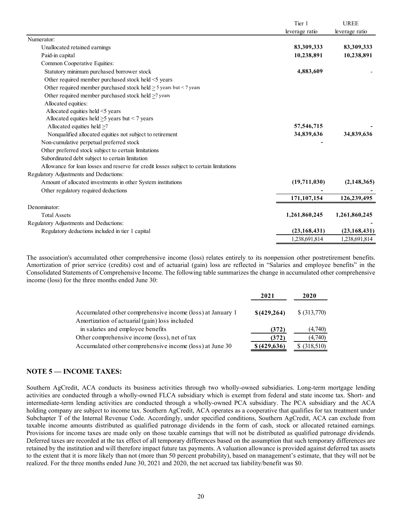|                                                                                        | Tier 1         | <b>UREE</b>    |
|----------------------------------------------------------------------------------------|----------------|----------------|
|                                                                                        | leverage ratio | leverage ratio |
| Numerator:                                                                             |                |                |
| Unallocated retained earnings                                                          | 83,309,333     | 83,309,333     |
| Paid-in capital                                                                        | 10,238,891     | 10,238,891     |
| Common Cooperative Equities:                                                           |                |                |
| Statutory minimum purchased borrower stock                                             | 4,883,609      |                |
| Other required member purchased stock held <5 years                                    |                |                |
| Other required member purchased stock held $\geq$ 5 years but < 7 years                |                |                |
| Other required member purchased stock held $\geq$ 7 years                              |                |                |
| Allocated equities:                                                                    |                |                |
| Allocated equities held <5 years                                                       |                |                |
| Allocated equities held $\geq$ 5 years but < 7 years                                   |                |                |
| Allocated equities held $\geq$ 7                                                       | 57,546,715     |                |
| Nonqualified allocated equities not subject to retirement                              | 34,839,636     | 34,839,636     |
| Non-cumulative perpetual preferred stock                                               |                |                |
| Other preferred stock subject to certain limitations                                   |                |                |
| Subordinated debt subject to certain limitation                                        |                |                |
| Allowance for loan losses and reserve for credit losses subject to certain limitations |                |                |
| Regulatory Adjustments and Deductions:                                                 |                |                |
| Amount of allocated investments in other System institutions                           | (19,711,030)   | (2,148,365)    |
| Other regulatory required deductions                                                   |                |                |
|                                                                                        | 171,107,154    | 126,239,495    |
| Denominator:                                                                           |                |                |
| <b>Total Assets</b>                                                                    | 1,261,860,245  | 1,261,860,245  |
| Regulatory Adjustments and Deductions:                                                 |                |                |
| Regulatory deductions included in tier 1 capital                                       | (23, 168, 431) | (23, 168, 431) |
|                                                                                        | 1,238,691,814  | 1,238,691,814  |

The association's accumulated other comprehensive income (loss) relates entirely to its nonpension other postretirement benefits. Amortization of prior service (credits) cost and of actuarial (gain) loss are reflected in "Salaries and employee benefits" in the Consolidated Statements of Comprehensive Income. The following table summarizes the change in accumulated other comprehensive income (loss) for the three months ended June 30:

|                                                                                                              | 2021         | <b>2020</b>   |
|--------------------------------------------------------------------------------------------------------------|--------------|---------------|
| Accumulated other comprehensive income (loss) at January 1<br>Amortization of actuarial (gain) loss included | \$(429, 264) | $$$ (313,770) |
| in salaries and employee benefits                                                                            | (372)        | (4,740)       |
| Other comprehensive income (loss), net of tax                                                                | (372)        | (4,740)       |
| Accumulated other comprehensive income (loss) at June 30                                                     | \$ (429,636) | (318,510)     |

## **NOTE 5 — INCOME TAXES:**

Southern AgCredit, ACA conducts its business activities through two wholly-owned subsidiaries. Long-term mortgage lending activities are conducted through a wholly-owned FLCA subsidiary which is exempt from federal and state income tax. Short- and intermediate-term lending activities are conducted through a wholly-owned PCA subsidiary. The PCA subsidiary and the ACA holding company are subject to income tax. Southern AgCredit, ACA operates as a cooperative that qualifies for tax treatment under Subchapter T of the Internal Revenue Code. Accordingly, under specified conditions, Southern AgCredit, ACA can exclude from taxable income amounts distributed as qualified patronage dividends in the form of cash, stock or allocated retained earnings. Provisions for income taxes are made only on those taxable earnings that will not be distributed as qualified patronage dividends. Deferred taxes are recorded at the tax effect of all temporary differences based on the assumption that such temporary differences are retained by the institution and will therefore impact future tax payments. A valuation allowance is provided against deferred tax assets to the extent that it is more likely than not (more than 50 percent probability), based on management's estimate, that they will not be realized. For the three months ended June 30, 2021 and 2020, the net accrued tax liability/benefit was \$0.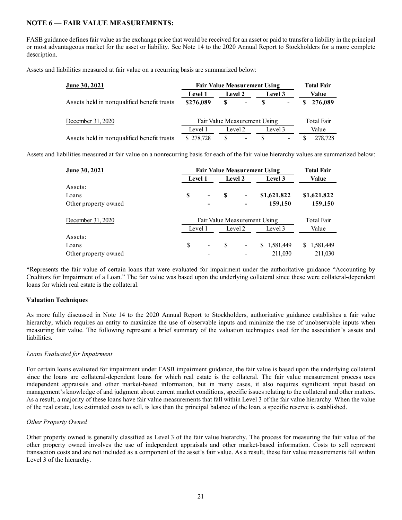## **NOTE 6 — FAIR VALUE MEASUREMENTS:**

FASB guidance defines fair value as the exchange price that would be received for an asset or paid to transfer a liability in the principal or most advantageous market for the asset or liability. See Note 14 to the 2020 Annual Report to Stockholders for a more complete description.

Assets and liabilities measured at fair value on a recurring basis are summarized below:

| June 30, 2021                              | <b>Fair Value Measurement Using</b> | <b>Total Fair</b> |            |         |                          |            |           |  |
|--------------------------------------------|-------------------------------------|-------------------|------------|---------|--------------------------|------------|-----------|--|
|                                            | <b>Level 1</b>                      |                   | Level 2    |         | Level 3                  | Value      |           |  |
| Assets held in nonqualified benefit trusts | \$276,089                           | S                 | $\sim 100$ | -8      | -                        |            | \$276,089 |  |
| December 31, 2020                          | Fair Value Measurement Using        |                   |            |         |                          | Total Fair |           |  |
|                                            | Level 1                             | Level 2           |            | Level 3 |                          | Value      |           |  |
| Assets held in nonqualified benefit trusts | \$278,728                           | S                 |            | -S      | $\overline{\phantom{a}}$ |            | 278,728   |  |

Assets and liabilities measured at fair value on a nonrecurring basis for each of the fair value hierarchy values are summarized below:

| <u>June 30, 2021</u> | <b>Fair Value Measurement Using</b> | <b>Total Fair</b>            |    |                |             |             |  |
|----------------------|-------------------------------------|------------------------------|----|----------------|-------------|-------------|--|
|                      |                                     | Level 1                      |    | Level 2        | Level 3     | Value       |  |
| Assets:              |                                     |                              |    |                |             |             |  |
| Loans                | S                                   | $\qquad \qquad \blacksquare$ | S  |                | \$1,621,822 | \$1,621,822 |  |
| Other property owned |                                     | $\overline{\phantom{0}}$     |    |                | 159,150     | 159,150     |  |
| December 31, 2020    |                                     | Fair Value Measurement Using |    |                |             |             |  |
|                      |                                     | Level 1                      |    | Level 2        | Level 3     | Value       |  |
| Assets:              |                                     |                              |    |                |             |             |  |
| Loans                | S                                   | $\overline{\phantom{a}}$     | \$ | $\blacksquare$ | \$1,581,449 | \$1,581,449 |  |
| Other property owned |                                     |                              |    |                | 211,030     | 211,030     |  |

\*Represents the fair value of certain loans that were evaluated for impairment under the authoritative guidance "Accounting by Creditors for Impairment of a Loan." The fair value was based upon the underlying collateral since these were collateral-dependent loans for which real estate is the collateral.

## **Valuation Techniques**

As more fully discussed in Note 14 to the 2020 Annual Report to Stockholders, authoritative guidance establishes a fair value hierarchy, which requires an entity to maximize the use of observable inputs and minimize the use of unobservable inputs when measuring fair value. The following represent a brief summary of the valuation techniques used for the association's assets and liabilities.

## *Loans Evaluated for Impairment*

For certain loans evaluated for impairment under FASB impairment guidance, the fair value is based upon the underlying collateral since the loans are collateral-dependent loans for which real estate is the collateral. The fair value measurement process uses independent appraisals and other market-based information, but in many cases, it also requires significant input based on management's knowledge of and judgment about current market conditions, specific issues relating to the collateral and other matters. As a result, a majority of these loans have fair value measurements that fall within Level 3 of the fair value hierarchy. When the value of the real estate, less estimated costs to sell, is less than the principal balance of the loan, a specific reserve is established.

## *Other Property Owned*

Other property owned is generally classified as Level 3 of the fair value hierarchy. The process for measuring the fair value of the other property owned involves the use of independent appraisals and other market-based information. Costs to sell represent transaction costs and are not included as a component of the asset's fair value. As a result, these fair value measurements fall within Level 3 of the hierarchy.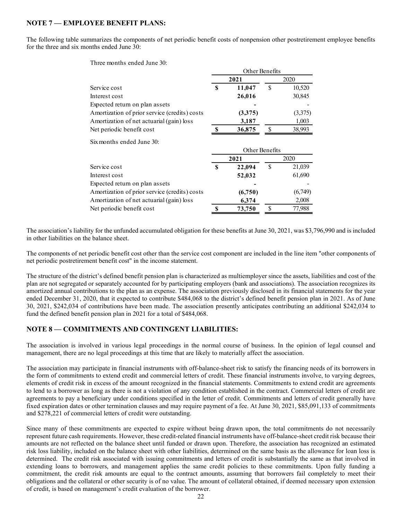## **NOTE 7 — EMPLOYEE BENEFIT PLANS:**

The following table summarizes the components of net periodic benefit costs of nonpension other postretirement employee benefits for the three and six months ended June 30:

Three months ended June 30:

|                                               | Other Benefits |         |      |         |
|-----------------------------------------------|----------------|---------|------|---------|
| Service cost                                  | 2021           |         | 2020 |         |
|                                               | S              | 11,047  |      | 10,520  |
| Interest cost                                 |                | 26,016  |      | 30,845  |
| Expected return on plan assets                |                |         |      |         |
| Amortization of prior service (credits) costs |                | (3,375) |      | (3,375) |
| Amortization of net actuarial (gain) loss     |                | 3,187   |      | 1,003   |
| Net periodic benefit cost                     |                | 36,875  |      | 38,993  |

Six months ended June 30:

|                                               | Other Benefits |         |      |         |
|-----------------------------------------------|----------------|---------|------|---------|
| Service cost                                  | 2021           |         | 2020 |         |
|                                               | S              | 22,094  | S    | 21,039  |
| Interest cost                                 |                | 52,032  |      | 61,690  |
| Expected return on plan assets                |                |         |      |         |
| Amortization of prior service (credits) costs |                | (6,750) |      | (6,749) |
| Amortization of net actuarial (gain) loss     |                | 6,374   |      | 2,008   |
| Net periodic benefit cost                     |                | 73,750  |      | 77,988  |
|                                               |                |         |      |         |

The association's liability for the unfunded accumulated obligation for these benefits at June 30, 2021, was \$3,796,990 and is included in other liabilities on the balance sheet.

The components of net periodic benefit cost other than the service cost component are included in the line item "other components of net periodic postretirement benefit cost" in the income statement.

The structure of the district's defined benefit pension plan is characterized as multiemployer since the assets, liabilities and cost of the plan are not segregated or separately accounted for by participating employers (bank and associations). The association recognizes its amortized annual contributions to the plan as an expense. The association previously disclosed in its financial statements for the year ended December 31, 2020, that it expected to contribute \$484,068 to the district's defined benefit pension plan in 2021. As of June 30, 2021, \$242,034 of contributions have been made. The association presently anticipates contributing an additional \$242,034 to fund the defined benefit pension plan in 2021 for a total of \$484,068.

## **NOTE 8 — COMMITMENTS AND CONTINGENT LIABILITIES:**

The association is involved in various legal proceedings in the normal course of business. In the opinion of legal counsel and management, there are no legal proceedings at this time that are likely to materially affect the association.

The association may participate in financial instruments with off-balance-sheet risk to satisfy the financing needs of its borrowers in the form of commitments to extend credit and commercial letters of credit. These financial instruments involve, to varying degrees, elements of credit risk in excess of the amount recognized in the financial statements. Commitments to extend credit are agreements to lend to a borrower as long as there is not a violation of any condition established in the contract. Commercial letters of credit are agreements to pay a beneficiary under conditions specified in the letter of credit. Commitments and letters of credit generally have fixed expiration dates or other termination clauses and may require payment of a fee. At June 30, 2021, \$85,091,133 of commitments and \$278,221 of commercial letters of credit were outstanding.

Since many of these commitments are expected to expire without being drawn upon, the total commitments do not necessarily represent future cash requirements. However, these credit-related financial instruments have off-balance-sheet credit risk because their amounts are not reflected on the balance sheet until funded or drawn upon. Therefore, the association has recognized an estimated risk loss liability, included on the balance sheet with other liabilities, determined on the same basis as the allowance for loan loss is determined. The credit risk associated with issuing commitments and letters of credit is substantially the same as that involved in extending loans to borrowers, and management applies the same credit policies to these commitments. Upon fully funding a commitment, the credit risk amounts are equal to the contract amounts, assuming that borrowers fail completely to meet their obligations and the collateral or other security is of no value. The amount of collateral obtained, if deemed necessary upon extension of credit, is based on management's credit evaluation of the borrower.